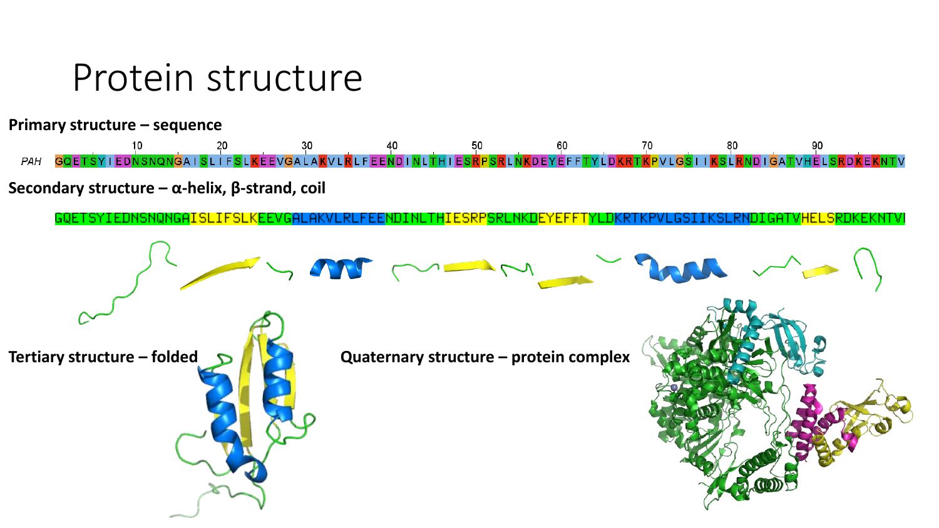## Protein structure

**Primary structure – sequence**

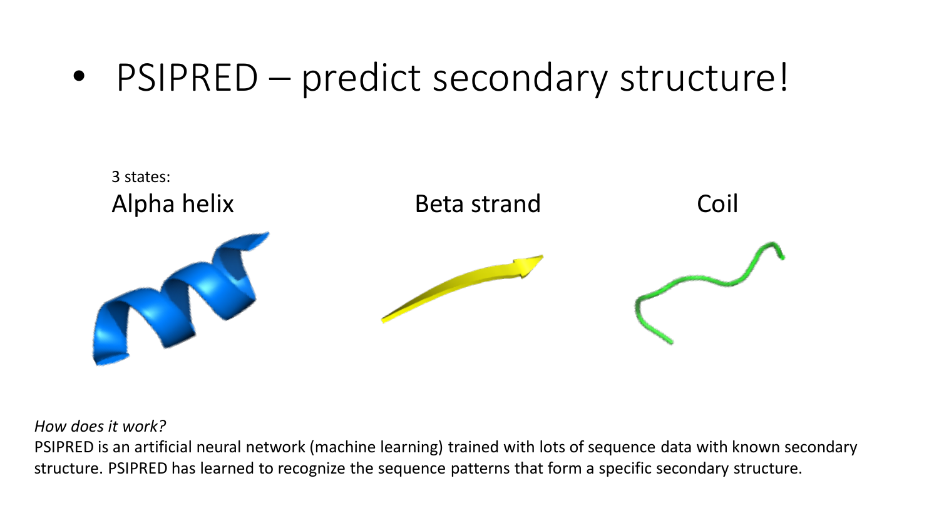## • PSIPRED – predict secondary structure!



*How does it work?* 

PSIPRED is an artificial neural network (machine learning) trained with lots of sequence data with known secondary structure. PSIPRED has learned to recognize the sequence patterns that form a specific secondary structure.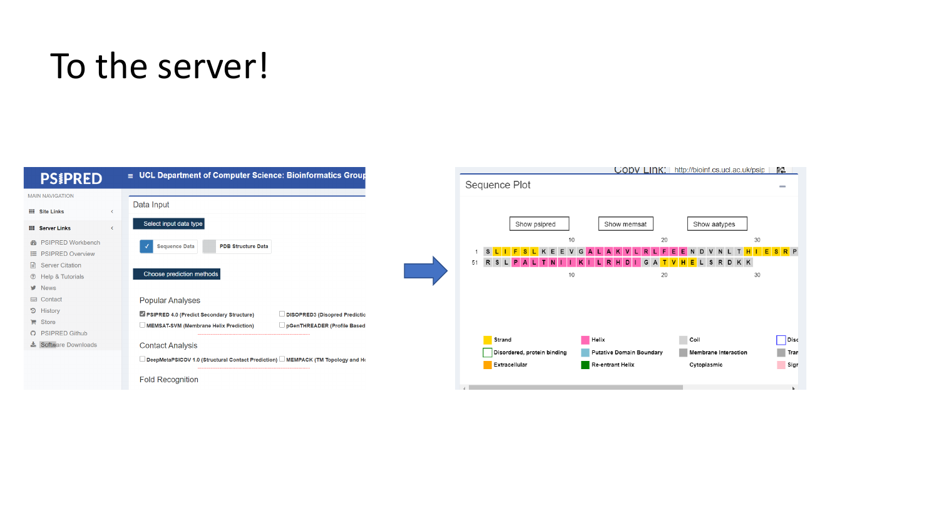

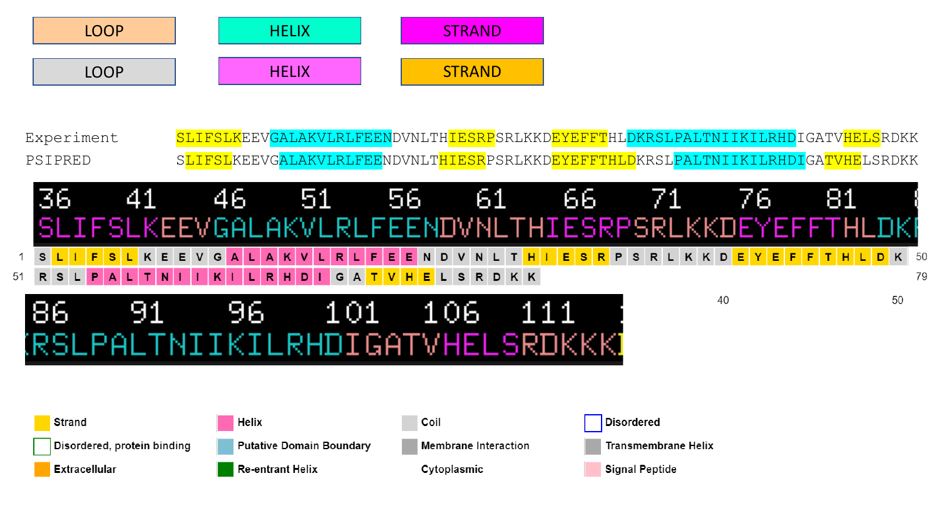

Experiment SLIFSLKEEVGALAKVLRLFEENDVNLTH<mark>IESRP</mark>SRLKKD<mark>EYEFFT</mark>HLDKRSLPALTNIIKILRHDIGATV<mark>HELS</mark>RDKK PSIPRED SLIFSLKEEVGALAKVLRLFEENDVNLTHIESRPSRLKKDEYEFFTHLDKRSLPALTNIIKILRHDIGATVHELSRDKK



## RSLPALTNIIKILRHDIGATVHELSRDKKKJ

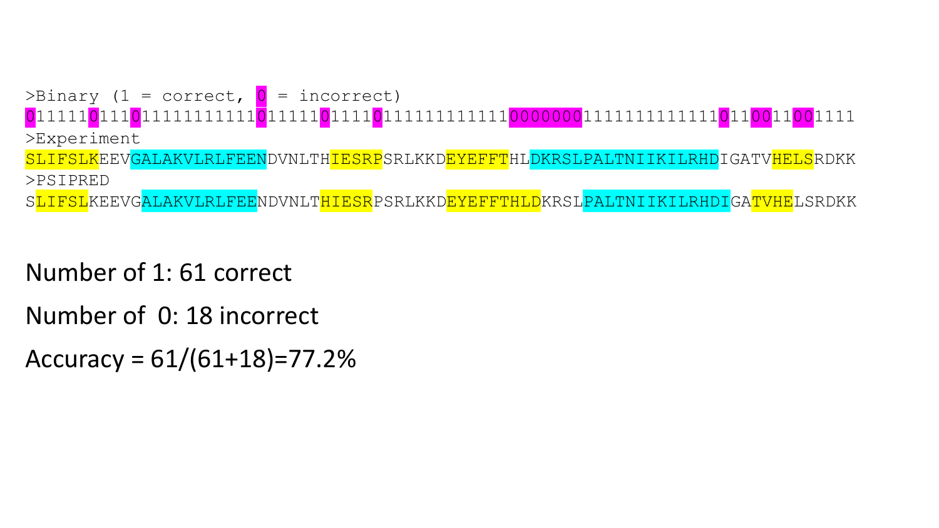>Binary (1 = correct,  $0 =$  incorrect) 0111110111011111111111011111011110111111111111000000011111111111110110011001111 >Experiment SLIFSLKEEVGALAKVLRLFEENDVNLTHIESRPSRLKKDEYEFFTHLDKRSLPALTNIIKILRHDIGATV<mark>HELS</mark>RDKK >PSIPRED S<mark>LIFSL</mark>KEEVGALAKVLRLFEENDVNLT<mark>HIESR</mark>PSRLKKD<mark>EYEFFTHLD</mark>KRSL<mark>PALTNIIKILRHDI</mark>GA<mark>TVHE</mark>LSRDKK

Number of 1: 61 correct Number of 0: 18 incorrect

Accuracy =  $61/(61+18)$ =77.2%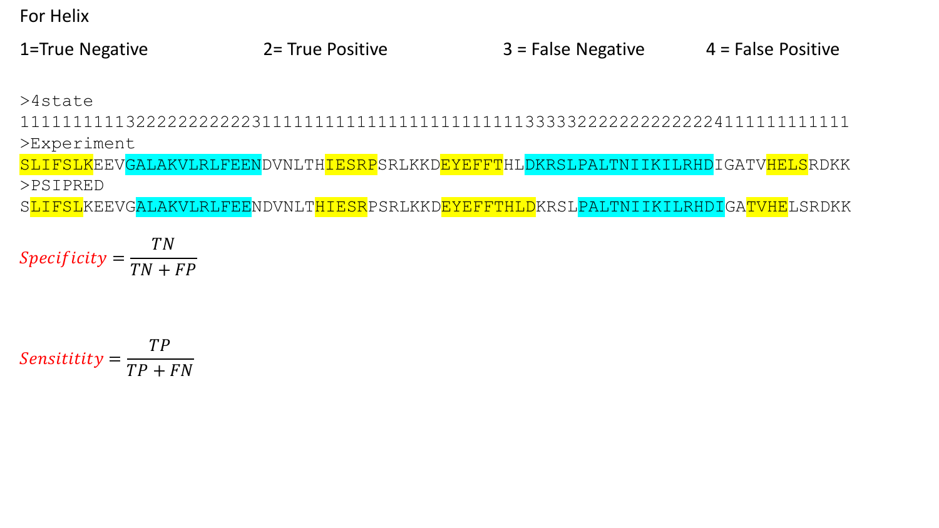For Helix

1=True Negative  $2=$  True Positive  $3=$  False Negative  $4=$  False Positive >4state 1111111111322222222222311111111111111111111111113333322222222222224111111111111 >Experiment SLIFSLKEEVGALAKVLRLFEENDVNLTH<mark>IESRP</mark>SRLKKDEYEFFTHLDKRSLPALTNIIKILRHDIGATV<mark>HELS</mark>RDKK >PSIPRED

S<mark>LIFSL</mark>KEEVGALAKVLRLFEENDVNLTHIESRPSRLKKDEYEFFTHLDKRSLPALTNIIKILRHDIGATVHE</mark>LSRDKK

 $Specificity =$  $TN$  $TN + FP$ 

Sensititity =  $TP$  $TP + FN$